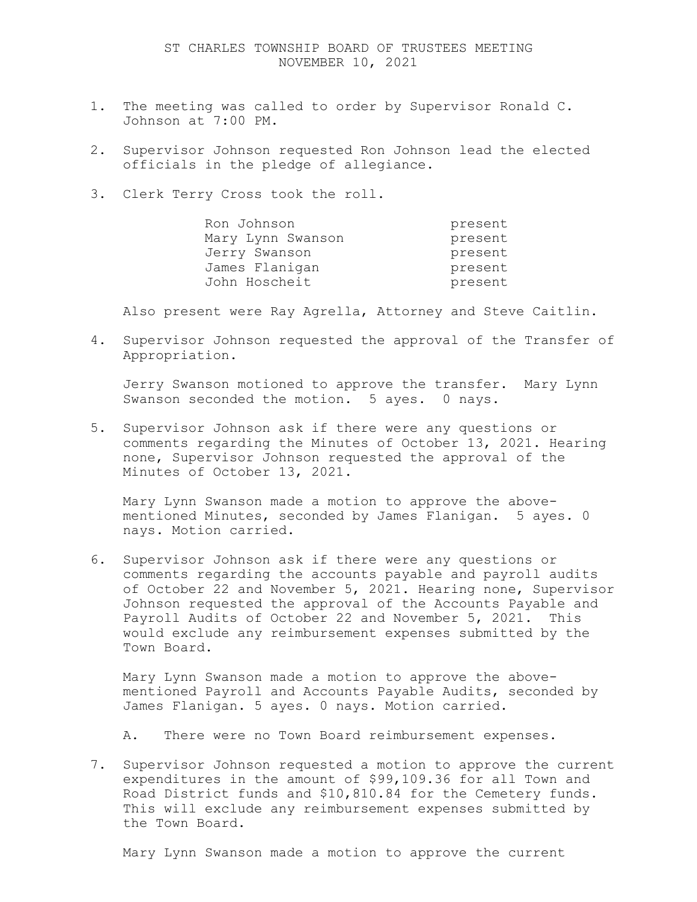- 1. The meeting was called to order by Supervisor Ronald C. Johnson at 7:00 PM.
- 2. Supervisor Johnson requested Ron Johnson lead the elected officials in the pledge of allegiance.
- 3. Clerk Terry Cross took the roll.

| Ron Johnson       | present |
|-------------------|---------|
| Mary Lynn Swanson | present |
| Jerry Swanson     | present |
| James Flanigan    | present |
| John Hoscheit     | present |

Also present were Ray Agrella, Attorney and Steve Caitlin.

4. Supervisor Johnson requested the approval of the Transfer of Appropriation.

Jerry Swanson motioned to approve the transfer. Mary Lynn Swanson seconded the motion. 5 ayes. 0 nays.

5. Supervisor Johnson ask if there were any questions or comments regarding the Minutes of October 13, 2021. Hearing none, Supervisor Johnson requested the approval of the Minutes of October 13, 2021.

Mary Lynn Swanson made a motion to approve the abovementioned Minutes, seconded by James Flanigan. 5 ayes. 0 nays. Motion carried.

6. Supervisor Johnson ask if there were any questions or comments regarding the accounts payable and payroll audits of October 22 and November 5, 2021. Hearing none, Supervisor Johnson requested the approval of the Accounts Payable and Payroll Audits of October 22 and November 5, 2021. This would exclude any reimbursement expenses submitted by the Town Board.

Mary Lynn Swanson made a motion to approve the abovementioned Payroll and Accounts Payable Audits, seconded by James Flanigan. 5 ayes. 0 nays. Motion carried.

A. There were no Town Board reimbursement expenses.

7. Supervisor Johnson requested a motion to approve the current expenditures in the amount of \$99,109.36 for all Town and Road District funds and \$10,810.84 for the Cemetery funds. This will exclude any reimbursement expenses submitted by the Town Board.

Mary Lynn Swanson made a motion to approve the current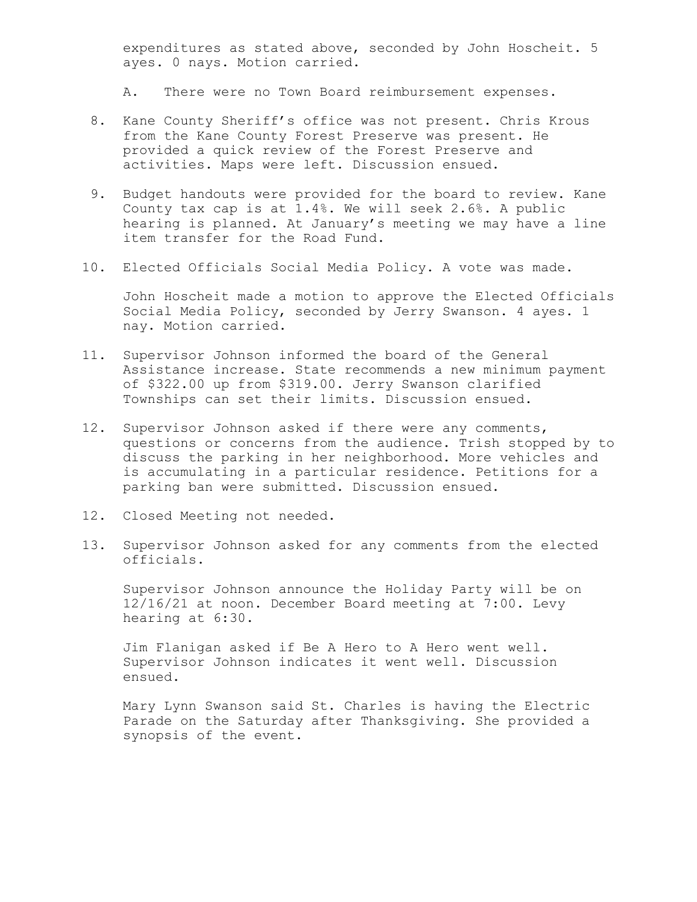expenditures as stated above, seconded by John Hoscheit. 5 ayes. 0 nays. Motion carried.

A. There were no Town Board reimbursement expenses.

- 8. Kane County Sheriff's office was not present. Chris Krous from the Kane County Forest Preserve was present. He provided a quick review of the Forest Preserve and activities. Maps were left. Discussion ensued.
- 9. Budget handouts were provided for the board to review. Kane County tax cap is at 1.4%. We will seek 2.6%. A public hearing is planned. At January's meeting we may have a line item transfer for the Road Fund.
- 10. Elected Officials Social Media Policy. A vote was made.

John Hoscheit made a motion to approve the Elected Officials Social Media Policy, seconded by Jerry Swanson. 4 ayes. 1 nay. Motion carried.

- 11. Supervisor Johnson informed the board of the General Assistance increase. State recommends a new minimum payment of \$322.00 up from \$319.00. Jerry Swanson clarified Townships can set their limits. Discussion ensued.
- 12. Supervisor Johnson asked if there were any comments, questions or concerns from the audience. Trish stopped by to discuss the parking in her neighborhood. More vehicles and is accumulating in a particular residence. Petitions for a parking ban were submitted. Discussion ensued.
- 12. Closed Meeting not needed.
- 13. Supervisor Johnson asked for any comments from the elected officials.

Supervisor Johnson announce the Holiday Party will be on 12/16/21 at noon. December Board meeting at 7:00. Levy hearing at 6:30.

Jim Flanigan asked if Be A Hero to A Hero went well. Supervisor Johnson indicates it went well. Discussion ensued.

Mary Lynn Swanson said St. Charles is having the Electric Parade on the Saturday after Thanksgiving. She provided a synopsis of the event.